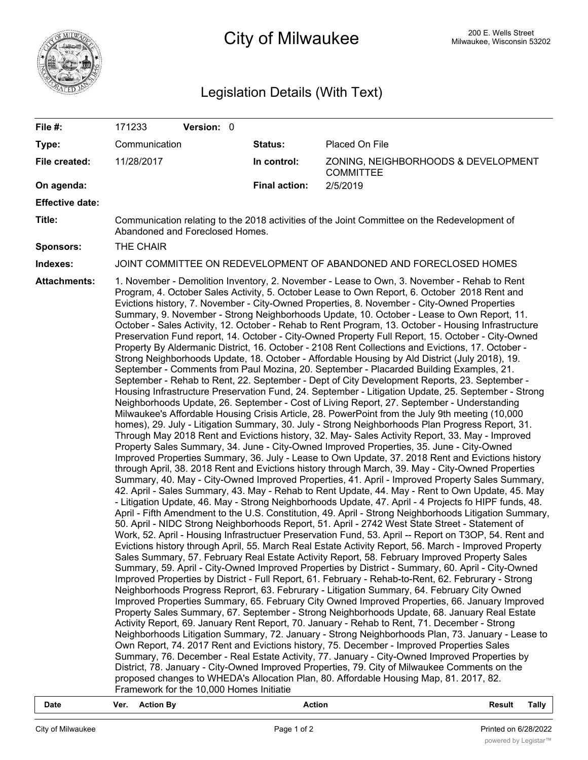

# **200 E. Wells Street** 200 E. Wells Street 200 E. Wells Street 200 E. Wells Street

## Legislation Details (With Text)

| File #:                | 171233                                                                                                                                                                                                                                                                                                                                                                                                                                                                                                                                                                                                                                                                                                                                                                                                                                                                                                                                                                                                                                                                                                                                                                                                                                                                                                                                                                                                                                                                                                                                                                                                                                                                                                                                                                                                                                                                                                                                                                                                                                                                                                                                                                                                                                                                                                                                                                                                                                                                                                                                                                                                                                                                                                                                                                                                                                                                                                                                                                                                                                                                                                                                                                                                                                                                                                                                                                                                                                                                                                                                                                                                                                                                                                                                                                                                                            | Version: 0 |                      |                                                         |  |  |  |
|------------------------|-----------------------------------------------------------------------------------------------------------------------------------------------------------------------------------------------------------------------------------------------------------------------------------------------------------------------------------------------------------------------------------------------------------------------------------------------------------------------------------------------------------------------------------------------------------------------------------------------------------------------------------------------------------------------------------------------------------------------------------------------------------------------------------------------------------------------------------------------------------------------------------------------------------------------------------------------------------------------------------------------------------------------------------------------------------------------------------------------------------------------------------------------------------------------------------------------------------------------------------------------------------------------------------------------------------------------------------------------------------------------------------------------------------------------------------------------------------------------------------------------------------------------------------------------------------------------------------------------------------------------------------------------------------------------------------------------------------------------------------------------------------------------------------------------------------------------------------------------------------------------------------------------------------------------------------------------------------------------------------------------------------------------------------------------------------------------------------------------------------------------------------------------------------------------------------------------------------------------------------------------------------------------------------------------------------------------------------------------------------------------------------------------------------------------------------------------------------------------------------------------------------------------------------------------------------------------------------------------------------------------------------------------------------------------------------------------------------------------------------------------------------------------------------------------------------------------------------------------------------------------------------------------------------------------------------------------------------------------------------------------------------------------------------------------------------------------------------------------------------------------------------------------------------------------------------------------------------------------------------------------------------------------------------------------------------------------------------------------------------------------------------------------------------------------------------------------------------------------------------------------------------------------------------------------------------------------------------------------------------------------------------------------------------------------------------------------------------------------------------------------------------------------------------------------------------------------------------|------------|----------------------|---------------------------------------------------------|--|--|--|
| Type:                  | Communication                                                                                                                                                                                                                                                                                                                                                                                                                                                                                                                                                                                                                                                                                                                                                                                                                                                                                                                                                                                                                                                                                                                                                                                                                                                                                                                                                                                                                                                                                                                                                                                                                                                                                                                                                                                                                                                                                                                                                                                                                                                                                                                                                                                                                                                                                                                                                                                                                                                                                                                                                                                                                                                                                                                                                                                                                                                                                                                                                                                                                                                                                                                                                                                                                                                                                                                                                                                                                                                                                                                                                                                                                                                                                                                                                                                                                     |            | Status:              | Placed On File                                          |  |  |  |
| File created:          | 11/28/2017                                                                                                                                                                                                                                                                                                                                                                                                                                                                                                                                                                                                                                                                                                                                                                                                                                                                                                                                                                                                                                                                                                                                                                                                                                                                                                                                                                                                                                                                                                                                                                                                                                                                                                                                                                                                                                                                                                                                                                                                                                                                                                                                                                                                                                                                                                                                                                                                                                                                                                                                                                                                                                                                                                                                                                                                                                                                                                                                                                                                                                                                                                                                                                                                                                                                                                                                                                                                                                                                                                                                                                                                                                                                                                                                                                                                                        |            | In control:          | ZONING, NEIGHBORHOODS & DEVELOPMENT<br><b>COMMITTEE</b> |  |  |  |
| On agenda:             |                                                                                                                                                                                                                                                                                                                                                                                                                                                                                                                                                                                                                                                                                                                                                                                                                                                                                                                                                                                                                                                                                                                                                                                                                                                                                                                                                                                                                                                                                                                                                                                                                                                                                                                                                                                                                                                                                                                                                                                                                                                                                                                                                                                                                                                                                                                                                                                                                                                                                                                                                                                                                                                                                                                                                                                                                                                                                                                                                                                                                                                                                                                                                                                                                                                                                                                                                                                                                                                                                                                                                                                                                                                                                                                                                                                                                                   |            | <b>Final action:</b> | 2/5/2019                                                |  |  |  |
| <b>Effective date:</b> |                                                                                                                                                                                                                                                                                                                                                                                                                                                                                                                                                                                                                                                                                                                                                                                                                                                                                                                                                                                                                                                                                                                                                                                                                                                                                                                                                                                                                                                                                                                                                                                                                                                                                                                                                                                                                                                                                                                                                                                                                                                                                                                                                                                                                                                                                                                                                                                                                                                                                                                                                                                                                                                                                                                                                                                                                                                                                                                                                                                                                                                                                                                                                                                                                                                                                                                                                                                                                                                                                                                                                                                                                                                                                                                                                                                                                                   |            |                      |                                                         |  |  |  |
| Title:                 | Communication relating to the 2018 activities of the Joint Committee on the Redevelopment of<br>Abandoned and Foreclosed Homes.                                                                                                                                                                                                                                                                                                                                                                                                                                                                                                                                                                                                                                                                                                                                                                                                                                                                                                                                                                                                                                                                                                                                                                                                                                                                                                                                                                                                                                                                                                                                                                                                                                                                                                                                                                                                                                                                                                                                                                                                                                                                                                                                                                                                                                                                                                                                                                                                                                                                                                                                                                                                                                                                                                                                                                                                                                                                                                                                                                                                                                                                                                                                                                                                                                                                                                                                                                                                                                                                                                                                                                                                                                                                                                   |            |                      |                                                         |  |  |  |
| <b>Sponsors:</b>       | THE CHAIR                                                                                                                                                                                                                                                                                                                                                                                                                                                                                                                                                                                                                                                                                                                                                                                                                                                                                                                                                                                                                                                                                                                                                                                                                                                                                                                                                                                                                                                                                                                                                                                                                                                                                                                                                                                                                                                                                                                                                                                                                                                                                                                                                                                                                                                                                                                                                                                                                                                                                                                                                                                                                                                                                                                                                                                                                                                                                                                                                                                                                                                                                                                                                                                                                                                                                                                                                                                                                                                                                                                                                                                                                                                                                                                                                                                                                         |            |                      |                                                         |  |  |  |
| Indexes:               | JOINT COMMITTEE ON REDEVELOPMENT OF ABANDONED AND FORECLOSED HOMES                                                                                                                                                                                                                                                                                                                                                                                                                                                                                                                                                                                                                                                                                                                                                                                                                                                                                                                                                                                                                                                                                                                                                                                                                                                                                                                                                                                                                                                                                                                                                                                                                                                                                                                                                                                                                                                                                                                                                                                                                                                                                                                                                                                                                                                                                                                                                                                                                                                                                                                                                                                                                                                                                                                                                                                                                                                                                                                                                                                                                                                                                                                                                                                                                                                                                                                                                                                                                                                                                                                                                                                                                                                                                                                                                                |            |                      |                                                         |  |  |  |
| <b>Attachments:</b>    | 1. November - Demolition Inventory, 2. November - Lease to Own, 3. November - Rehab to Rent<br>Program, 4. October Sales Activity, 5. October Lease to Own Report, 6. October 2018 Rent and<br>Evictions history, 7. November - City-Owned Properties, 8. November - City-Owned Properties<br>Summary, 9. November - Strong Neighborhoods Update, 10. October - Lease to Own Report, 11.<br>October - Sales Activity, 12. October - Rehab to Rent Program, 13. October - Housing Infrastructure<br>Preservation Fund report, 14. October - City-Owned Property Full Report, 15. October - City-Owned<br>Property By Aldermanic District, 16. October - 2108 Rent Collections and Evictions, 17. October -<br>Strong Neighborhoods Update, 18. October - Affordable Housing by Ald District (July 2018), 19.<br>September - Comments from Paul Mozina, 20. September - Placarded Building Examples, 21.<br>September - Rehab to Rent, 22. September - Dept of City Development Reports, 23. September -<br>Housing Infrastructure Preservation Fund, 24. September - Litigation Update, 25. September - Strong<br>Neighborhoods Update, 26. September - Cost of Living Report, 27. September - Understanding<br>Milwaukee's Affordable Housing Crisis Article, 28. PowerPoint from the July 9th meeting (10,000<br>homes), 29. July - Litigation Summary, 30. July - Strong Neighborhoods Plan Progress Report, 31.<br>Through May 2018 Rent and Evictions history, 32. May- Sales Activity Report, 33. May - Improved<br>Property Sales Summary, 34. June - City-Owned Improved Properties, 35. June - City-Owned<br>Improved Properties Summary, 36. July - Lease to Own Update, 37. 2018 Rent and Evictions history<br>through April, 38. 2018 Rent and Evictions history through March, 39. May - City-Owned Properties<br>Summary, 40. May - City-Owned Improved Properties, 41. April - Improved Property Sales Summary,<br>42. April - Sales Summary, 43. May - Rehab to Rent Update, 44. May - Rent to Own Update, 45. May<br>- Litigation Update, 46. May - Strong Neighborhoods Update, 47. April - 4 Projects fo HIPF funds, 48.<br>April - Fifth Amendment to the U.S. Constitution, 49. April - Strong Neighborhoods Litigation Summary,<br>50. April - NIDC Strong Neighborhoods Report, 51. April - 2742 West State Street - Statement of<br>Work, 52. April - Housing Infrastructuer Preservation Fund, 53. April -- Report on T3OP, 54. Rent and<br>Evictions history through April, 55. March Real Estate Activity Report, 56. March - Improved Property<br>Sales Summary, 57. February Real Estate Activity Report, 58. February Improved Property Sales<br>Summary, 59. April - City-Owned Improved Properties by District - Summary, 60. April - City-Owned<br>Improved Properties by District - Full Report, 61. February - Rehab-to-Rent, 62. Februrary - Strong<br>Neighborhoods Progress Reprort, 63. Februrary - Litigation Summary, 64. February City Owned<br>Improved Properties Summary, 65. February City Owned Improved Properties, 66. January Improved<br>Property Sales Summary, 67. September - Strong Neighborhoods Update, 68. January Real Estate<br>Activity Report, 69. January Rent Report, 70. January - Rehab to Rent, 71. December - Strong<br>Neighborhoods Litigation Summary, 72. January - Strong Neighborhoods Plan, 73. January - Lease to<br>Own Report, 74. 2017 Rent and Evictions history, 75. December - Improved Properties Sales<br>Summary, 76. December - Real Estate Activity, 77. January - City-Owned Improved Properties by<br>District, 78. January - City-Owned Improved Properties, 79. City of Milwaukee Comments on the<br>proposed changes to WHEDA's Allocation Plan, 80. Affordable Housing Map, 81. 2017, 82.<br>Framework for the 10,000 Homes Initiatie |            |                      |                                                         |  |  |  |

**Date Ver. Action By Action Result Tally**